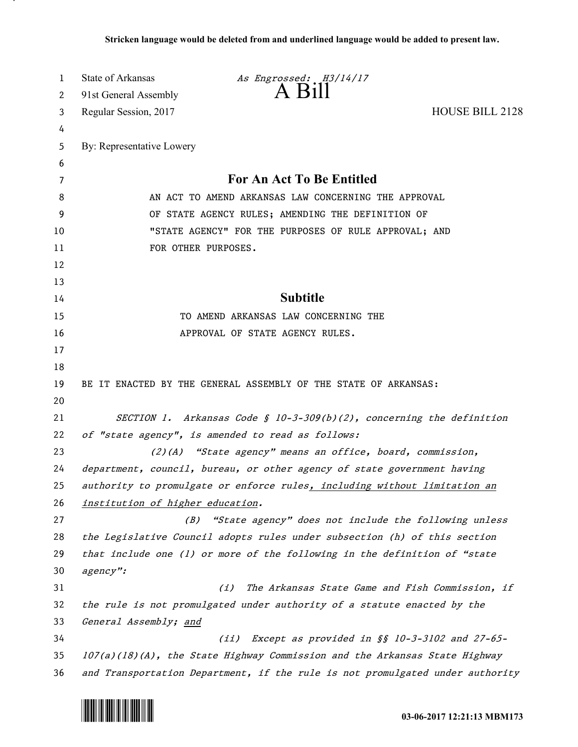| 1  | State of Arkansas                                                             | As Engrossed: H3/14/17                                                    |                        |
|----|-------------------------------------------------------------------------------|---------------------------------------------------------------------------|------------------------|
| 2  | 91st General Assembly                                                         | $A$ $H11$                                                                 |                        |
| 3  | Regular Session, 2017                                                         |                                                                           | <b>HOUSE BILL 2128</b> |
| 4  |                                                                               |                                                                           |                        |
| 5  | By: Representative Lowery                                                     |                                                                           |                        |
| 6  |                                                                               |                                                                           |                        |
| 7  | For An Act To Be Entitled                                                     |                                                                           |                        |
| 8  | AN ACT TO AMEND ARKANSAS LAW CONCERNING THE APPROVAL                          |                                                                           |                        |
| 9  | OF STATE AGENCY RULES; AMENDING THE DEFINITION OF                             |                                                                           |                        |
| 10 | "STATE AGENCY" FOR THE PURPOSES OF RULE APPROVAL; AND                         |                                                                           |                        |
| 11 | FOR OTHER PURPOSES.                                                           |                                                                           |                        |
| 12 |                                                                               |                                                                           |                        |
| 13 |                                                                               |                                                                           |                        |
| 14 | <b>Subtitle</b>                                                               |                                                                           |                        |
| 15 | TO AMEND ARKANSAS LAW CONCERNING THE                                          |                                                                           |                        |
| 16 |                                                                               | APPROVAL OF STATE AGENCY RULES.                                           |                        |
| 17 |                                                                               |                                                                           |                        |
| 18 |                                                                               |                                                                           |                        |
| 19 |                                                                               | BE IT ENACTED BY THE GENERAL ASSEMBLY OF THE STATE OF ARKANSAS:           |                        |
| 20 |                                                                               |                                                                           |                        |
| 21 |                                                                               | SECTION 1. Arkansas Code § 10-3-309(b)(2), concerning the definition      |                        |
| 22 | of "state agency", is amended to read as follows:                             |                                                                           |                        |
| 23 |                                                                               | $(2)(A)$ "State agency" means an office, board, commission,               |                        |
| 24 |                                                                               | department, council, bureau, or other agency of state government having   |                        |
| 25 |                                                                               | authority to promulgate or enforce rules, including without limitation an |                        |
| 26 | institution of higher education.                                              |                                                                           |                        |
| 27 | (B)                                                                           | "State agency" does not include the following unless                      |                        |
| 28 |                                                                               | the Legislative Council adopts rules under subsection (h) of this section |                        |
| 29 |                                                                               | that include one (1) or more of the following in the definition of "state |                        |
| 30 | agency":                                                                      |                                                                           |                        |
| 31 |                                                                               | The Arkansas State Game and Fish Commission, if<br>(i)                    |                        |
| 32 | the rule is not promulgated under authority of a statute enacted by the       |                                                                           |                        |
| 33 | General Assembly; and                                                         |                                                                           |                        |
| 34 |                                                                               | Except as provided in §§ 10-3-3102 and 27-65-<br>(iii)                    |                        |
| 35 | 107(a)(18)(A), the State Highway Commission and the Arkansas State Highway    |                                                                           |                        |
| 36 | and Transportation Department, if the rule is not promulgated under authority |                                                                           |                        |



.